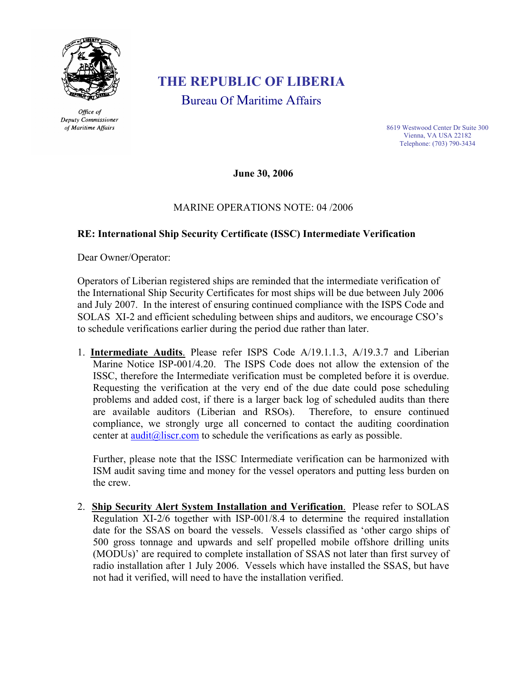

Office of Deputy Commissioner of Maritime Affairs

## **THE REPUBLIC OF LIBERIA**

Bureau Of Maritime Affairs

8619 Westwood Center Dr Suite 300 Vienna, VA USA 22182 Telephone: (703) 790-3434

**June 30, 2006** 

## MARINE OPERATIONS NOTE: 04 /2006

## **RE: International Ship Security Certificate (ISSC) Intermediate Verification**

Dear Owner/Operator:

Operators of Liberian registered ships are reminded that the intermediate verification of the International Ship Security Certificates for most ships will be due between July 2006 and July 2007. In the interest of ensuring continued compliance with the ISPS Code and SOLAS XI-2 and efficient scheduling between ships and auditors, we encourage CSO's to schedule verifications earlier during the period due rather than later.

1. **Intermediate Audits**. Please refer ISPS Code A/19.1.1.3, A/19.3.7 and Liberian Marine Notice ISP-001/4.20. The ISPS Code does not allow the extension of the ISSC, therefore the Intermediate verification must be completed before it is overdue. Requesting the verification at the very end of the due date could pose scheduling problems and added cost, if there is a larger back log of scheduled audits than there are available auditors (Liberian and RSOs). Therefore, to ensure continued compliance, we strongly urge all concerned to contact the auditing coordination center at audit $(a)$  liser com to schedule the verifications as early as possible.

Further, please note that the ISSC Intermediate verification can be harmonized with ISM audit saving time and money for the vessel operators and putting less burden on the crew.

2. **Ship Security Alert System Installation and Verification**. Please refer to SOLAS Regulation XI-2/6 together with ISP-001/8.4 to determine the required installation date for the SSAS on board the vessels. Vessels classified as 'other cargo ships of 500 gross tonnage and upwards and self propelled mobile offshore drilling units (MODUs)' are required to complete installation of SSAS not later than first survey of radio installation after 1 July 2006. Vessels which have installed the SSAS, but have not had it verified, will need to have the installation verified.